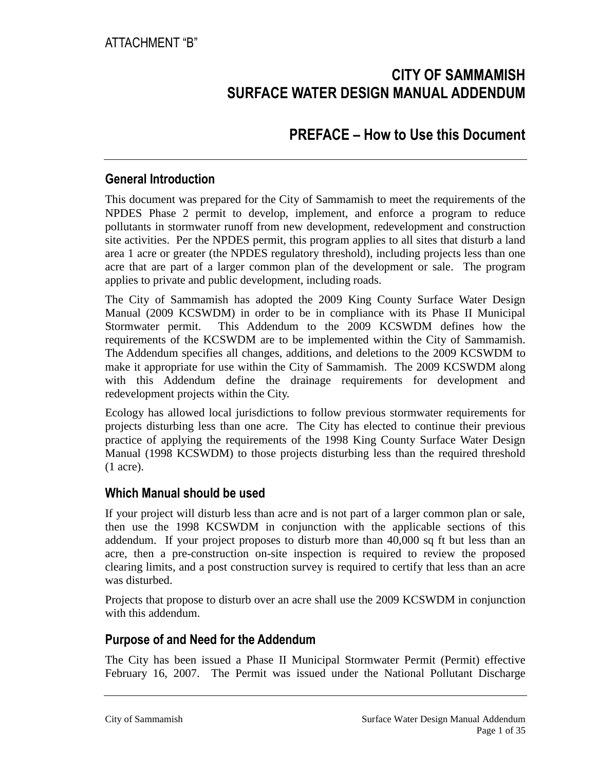## **CITY OF SAMMAMISH SURFACE WATER DESIGN MANUAL ADDENDUM**

## **PREFACE – How to Use this Document**

### **General Introduction**

This document was prepared for the City of Sammamish to meet the requirements of the NPDES Phase 2 permit to develop, implement, and enforce a program to reduce pollutants in stormwater runoff from new development, redevelopment and construction site activities. Per the NPDES permit, this program applies to all sites that disturb a land area 1 acre or greater (the NPDES regulatory threshold), including projects less than one acre that are part of a larger common plan of the development or sale. The program applies to private and public development, including roads.

The City of Sammamish has adopted the 2009 King County Surface Water Design Manual (2009 KCSWDM) in order to be in compliance with its Phase II Municipal Stormwater permit. This Addendum to the 2009 KCSWDM defines how the requirements of the KCSWDM are to be implemented within the City of Sammamish. The Addendum specifies all changes, additions, and deletions to the 2009 KCSWDM to make it appropriate for use within the City of Sammamish. The 2009 KCSWDM along with this Addendum define the drainage requirements for development and redevelopment projects within the City.

Ecology has allowed local jurisdictions to follow previous stormwater requirements for projects disturbing less than one acre. The City has elected to continue their previous practice of applying the requirements of the 1998 King County Surface Water Design Manual (1998 KCSWDM) to those projects disturbing less than the required threshold (1 acre).

### **Which Manual should be used**

If your project will disturb less than acre and is not part of a larger common plan or sale, then use the 1998 KCSWDM in conjunction with the applicable sections of this addendum. If your project proposes to disturb more than 40,000 sq ft but less than an acre, then a pre-construction on-site inspection is required to review the proposed clearing limits, and a post construction survey is required to certify that less than an acre was disturbed.

Projects that propose to disturb over an acre shall use the 2009 KCSWDM in conjunction with this addendum.

### **Purpose of and Need for the Addendum**

The City has been issued a Phase II Municipal Stormwater Permit (Permit) effective February 16, 2007. The Permit was issued under the National Pollutant Discharge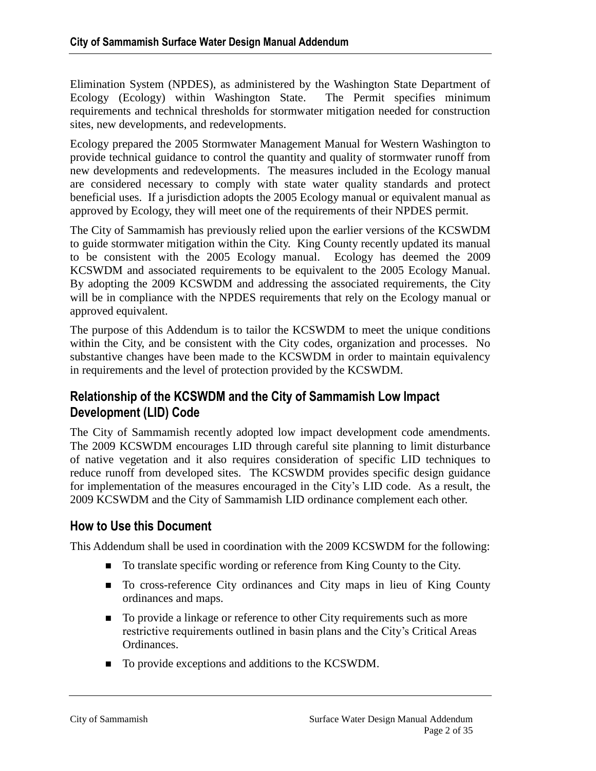Elimination System (NPDES), as administered by the Washington State Department of Ecology (Ecology) within Washington State. The Permit specifies minimum requirements and technical thresholds for stormwater mitigation needed for construction sites, new developments, and redevelopments.

Ecology prepared the 2005 Stormwater Management Manual for Western Washington to provide technical guidance to control the quantity and quality of stormwater runoff from new developments and redevelopments. The measures included in the Ecology manual are considered necessary to comply with state water quality standards and protect beneficial uses. If a jurisdiction adopts the 2005 Ecology manual or equivalent manual as approved by Ecology, they will meet one of the requirements of their NPDES permit.

The City of Sammamish has previously relied upon the earlier versions of the KCSWDM to guide stormwater mitigation within the City. King County recently updated its manual to be consistent with the 2005 Ecology manual. Ecology has deemed the 2009 KCSWDM and associated requirements to be equivalent to the 2005 Ecology Manual. By adopting the 2009 KCSWDM and addressing the associated requirements, the City will be in compliance with the NPDES requirements that rely on the Ecology manual or approved equivalent.

The purpose of this Addendum is to tailor the KCSWDM to meet the unique conditions within the City, and be consistent with the City codes, organization and processes. No substantive changes have been made to the KCSWDM in order to maintain equivalency in requirements and the level of protection provided by the KCSWDM.

### **Relationship of the KCSWDM and the City of Sammamish Low Impact Development (LID) Code**

The City of Sammamish recently adopted low impact development code amendments. The 2009 KCSWDM encourages LID through careful site planning to limit disturbance of native vegetation and it also requires consideration of specific LID techniques to reduce runoff from developed sites. The KCSWDM provides specific design guidance for implementation of the measures encouraged in the City's LID code. As a result, the 2009 KCSWDM and the City of Sammamish LID ordinance complement each other.

### **How to Use this Document**

This Addendum shall be used in coordination with the 2009 KCSWDM for the following:

- To translate specific wording or reference from King County to the City.
- To cross-reference City ordinances and City maps in lieu of King County ordinances and maps.
- To provide a linkage or reference to other City requirements such as more restrictive requirements outlined in basin plans and the City's Critical Areas Ordinances.
- To provide exceptions and additions to the KCSWDM.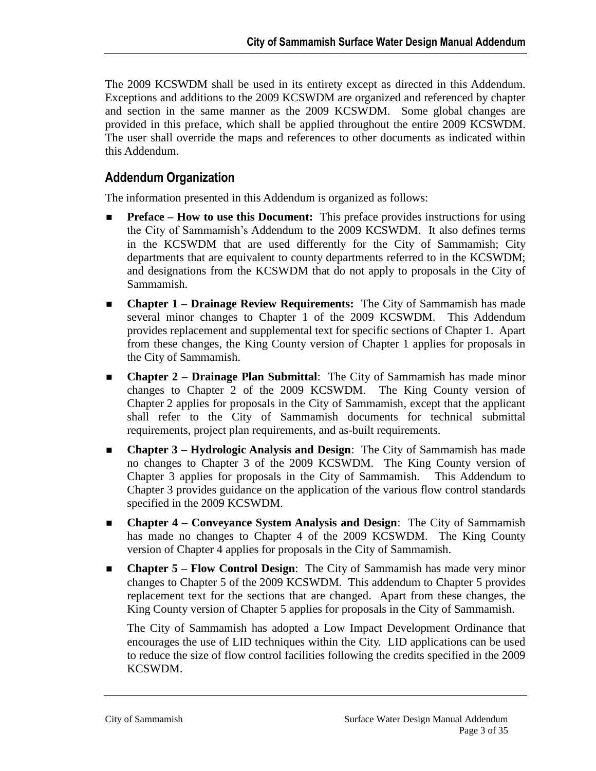The 2009 KCSWDM shall be used in its entirety except as directed in this Addendum. Exceptions and additions to the 2009 KCSWDM are organized and referenced by chapter and section in the same manner as the 2009 KCSWDM. Some global changes are provided in this preface, which shall be applied throughout the entire 2009 KCSWDM. The user shall override the maps and references to other documents as indicated within this Addendum.

### **Addendum Organization**

The information presented in this Addendum is organized as follows:

- **Preface – How to use this Document:** This preface provides instructions for using the City of Sammamish's Addendum to the 2009 KCSWDM. It also defines terms in the KCSWDM that are used differently for the City of Sammamish; City departments that are equivalent to county departments referred to in the KCSWDM; and designations from the KCSWDM that do not apply to proposals in the City of Sammamish.
- **Chapter 1 – Drainage Review Requirements:** The City of Sammamish has made several minor changes to Chapter 1 of the 2009 KCSWDM. This Addendum provides replacement and supplemental text for specific sections of Chapter 1. Apart from these changes, the King County version of Chapter 1 applies for proposals in the City of Sammamish.
- **Chapter 2 – Drainage Plan Submittal**: The City of Sammamish has made minor changes to Chapter 2 of the 2009 KCSWDM. The King County version of Chapter 2 applies for proposals in the City of Sammamish, except that the applicant shall refer to the City of Sammamish documents for technical submittal requirements, project plan requirements, and as-built requirements.
- **Chapter 3 – Hydrologic Analysis and Design**: The City of Sammamish has made no changes to Chapter 3 of the 2009 KCSWDM. The King County version of Chapter 3 applies for proposals in the City of Sammamish. This Addendum to Chapter 3 provides guidance on the application of the various flow control standards specified in the 2009 KCSWDM.
- **Chapter 4 – Conveyance System Analysis and Design**: The City of Sammamish has made no changes to Chapter 4 of the 2009 KCSWDM. The King County version of Chapter 4 applies for proposals in the City of Sammamish.
- **Chapter 5 – Flow Control Design**: The City of Sammamish has made very minor changes to Chapter 5 of the 2009 KCSWDM. This addendum to Chapter 5 provides replacement text for the sections that are changed. Apart from these changes, the King County version of Chapter 5 applies for proposals in the City of Sammamish.

The City of Sammamish has adopted a Low Impact Development Ordinance that encourages the use of LID techniques within the City. LID applications can be used to reduce the size of flow control facilities following the credits specified in the 2009 KCSWDM.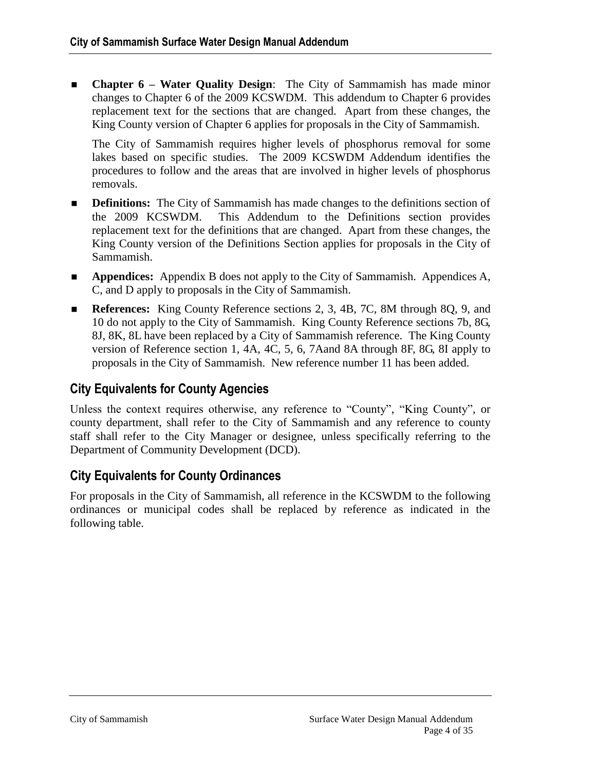**Chapter 6 – Water Quality Design**: The City of Sammamish has made minor changes to Chapter 6 of the 2009 KCSWDM. This addendum to Chapter 6 provides replacement text for the sections that are changed. Apart from these changes, the King County version of Chapter 6 applies for proposals in the City of Sammamish.

The City of Sammamish requires higher levels of phosphorus removal for some lakes based on specific studies. The 2009 KCSWDM Addendum identifies the procedures to follow and the areas that are involved in higher levels of phosphorus removals.

- **Definitions:** The City of Sammamish has made changes to the definitions section of the 2009 KCSWDM. This Addendum to the Definitions section provides replacement text for the definitions that are changed. Apart from these changes, the King County version of the Definitions Section applies for proposals in the City of Sammamish.
- **Appendices:** Appendix B does not apply to the City of Sammamish. Appendices A, C, and D apply to proposals in the City of Sammamish.
- **References:** King County Reference sections 2, 3, 4B, 7C, 8M through 8Q, 9, and 10 do not apply to the City of Sammamish. King County Reference sections 7b, 8G, 8J, 8K, 8L have been replaced by a City of Sammamish reference. The King County version of Reference section 1, 4A, 4C, 5, 6, 7Aand 8A through 8F, 8G, 8I apply to proposals in the City of Sammamish. New reference number 11 has been added.

## **City Equivalents for County Agencies**

Unless the context requires otherwise, any reference to "County", "King County", or county department, shall refer to the City of Sammamish and any reference to county staff shall refer to the City Manager or designee, unless specifically referring to the Department of Community Development (DCD).

## **City Equivalents for County Ordinances**

For proposals in the City of Sammamish, all reference in the KCSWDM to the following ordinances or municipal codes shall be replaced by reference as indicated in the following table.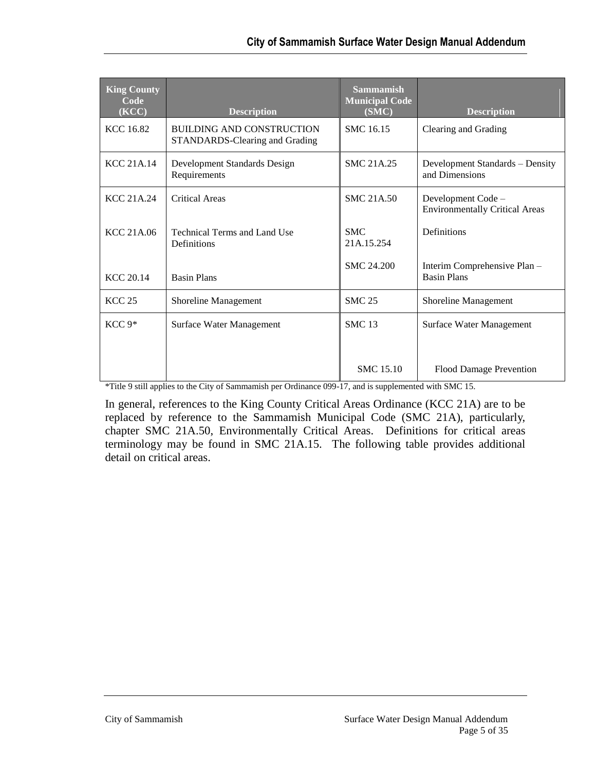| <b>King County</b><br>Code<br>(KCC) | <b>Description</b>                                                 | <b>Sammamish</b><br><b>Municipal Code</b><br>(SMC) | <b>Description</b>                                          |
|-------------------------------------|--------------------------------------------------------------------|----------------------------------------------------|-------------------------------------------------------------|
| <b>KCC 16.82</b>                    | <b>BUILDING AND CONSTRUCTION</b><br>STANDARDS-Clearing and Grading | SMC 16.15                                          | Clearing and Grading                                        |
| <b>KCC 21A.14</b>                   | Development Standards Design<br>Requirements                       | <b>SMC 21A.25</b>                                  | Development Standards - Density<br>and Dimensions           |
| KCC 21A.24                          | <b>Critical Areas</b>                                              | <b>SMC 21A.50</b>                                  | Development Code -<br><b>Environmentally Critical Areas</b> |
| <b>KCC 21A.06</b>                   | Technical Terms and Land Use<br>Definitions                        | <b>SMC</b><br>21A.15.254                           | Definitions                                                 |
| KCC 20.14                           | <b>Basin Plans</b>                                                 | <b>SMC 24.200</b>                                  | Interim Comprehensive Plan -<br><b>Basin Plans</b>          |
| <b>KCC 25</b>                       | Shoreline Management                                               | <b>SMC 25</b>                                      | Shoreline Management                                        |
| $KCC 9*$                            | Surface Water Management                                           | <b>SMC 13</b>                                      | Surface Water Management                                    |
|                                     |                                                                    | <b>SMC</b> 15.10                                   | <b>Flood Damage Prevention</b>                              |

\*Title 9 still applies to the City of Sammamish per Ordinance 099-17, and is supplemented with SMC 15.

In general, references to the King County Critical Areas Ordinance (KCC 21A) are to be replaced by reference to the Sammamish Municipal Code (SMC 21A), particularly, chapter SMC 21A.50, Environmentally Critical Areas. Definitions for critical areas terminology may be found in SMC 21A.15. The following table provides additional detail on critical areas.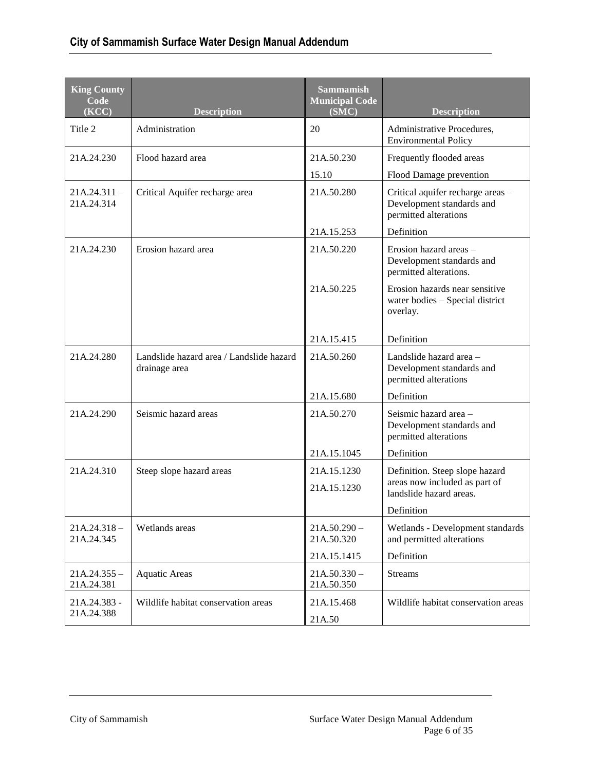| <b>King County</b><br>Code<br>(KCC) | <b>Description</b>                                        | <b>Sammamish</b><br><b>Municipal Code</b><br>(SMC) | <b>Description</b>                                                                      |
|-------------------------------------|-----------------------------------------------------------|----------------------------------------------------|-----------------------------------------------------------------------------------------|
| Title 2                             | Administration                                            | 20                                                 | Administrative Procedures,<br><b>Environmental Policy</b>                               |
| 21A.24.230                          | Flood hazard area                                         | 21A.50.230                                         | Frequently flooded areas                                                                |
|                                     |                                                           | 15.10                                              | Flood Damage prevention                                                                 |
| $21A.24.311 -$<br>21A.24.314        | Critical Aquifer recharge area                            | 21A.50.280                                         | Critical aquifer recharge areas -<br>Development standards and<br>permitted alterations |
|                                     |                                                           | 21A.15.253                                         | Definition                                                                              |
| 21A.24.230                          | Erosion hazard area                                       | 21A.50.220                                         | Erosion hazard areas -<br>Development standards and<br>permitted alterations.           |
|                                     |                                                           | 21A.50.225                                         | Erosion hazards near sensitive<br>water bodies - Special district<br>overlay.           |
|                                     |                                                           | 21A.15.415                                         | Definition                                                                              |
| 21A.24.280                          | Landslide hazard area / Landslide hazard<br>drainage area | 21A.50.260                                         | Landslide hazard area -<br>Development standards and<br>permitted alterations           |
|                                     |                                                           | 21A.15.680                                         | Definition                                                                              |
| 21A.24.290                          | Seismic hazard areas                                      | 21A.50.270                                         | Seismic hazard area-<br>Development standards and<br>permitted alterations              |
|                                     |                                                           | 21A.15.1045                                        | Definition                                                                              |
| 21A.24.310                          | Steep slope hazard areas                                  | 21A.15.1230                                        | Definition. Steep slope hazard                                                          |
|                                     |                                                           | 21A.15.1230                                        | areas now included as part of<br>landslide hazard areas.                                |
|                                     |                                                           |                                                    | Definition                                                                              |
| $21A.24.318 -$<br>21A.24.345        | Wetlands areas                                            | $21A.50.290 -$<br>21A.50.320                       | Wetlands - Development standards<br>and permitted alterations                           |
|                                     |                                                           | 21A.15.1415                                        | Definition                                                                              |
| $21A.24.355 -$<br>21A.24.381        | <b>Aquatic Areas</b>                                      | $21A.50.330 -$<br>21A.50.350                       | <b>Streams</b>                                                                          |
| 21A.24.383 -<br>21A.24.388          | Wildlife habitat conservation areas                       | 21A.15.468<br>21A.50                               | Wildlife habitat conservation areas                                                     |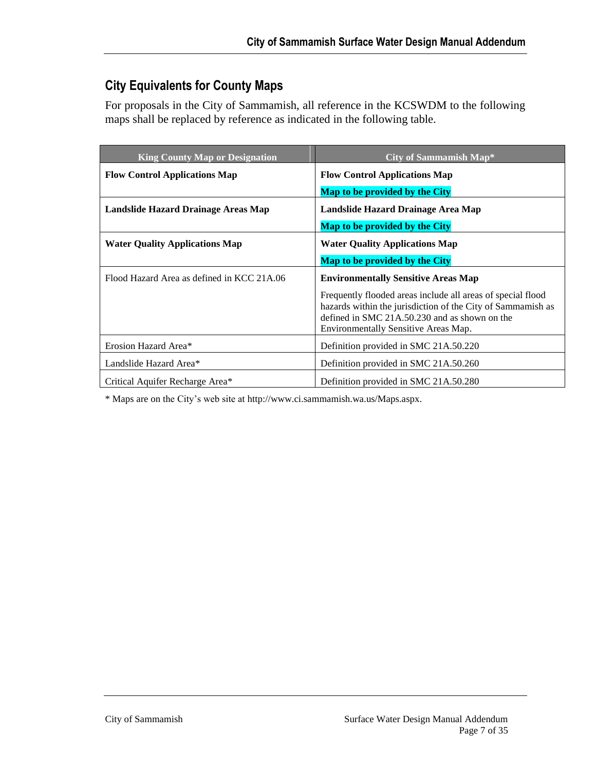## **City Equivalents for County Maps**

For proposals in the City of Sammamish, all reference in the KCSWDM to the following maps shall be replaced by reference as indicated in the following table.

| <b>King County Map or Designation</b>      | City of Sammamish Map*                                                                                                                                                                                                |
|--------------------------------------------|-----------------------------------------------------------------------------------------------------------------------------------------------------------------------------------------------------------------------|
| <b>Flow Control Applications Map</b>       | <b>Flow Control Applications Map</b>                                                                                                                                                                                  |
|                                            | <b>Map to be provided by the City</b>                                                                                                                                                                                 |
| Landslide Hazard Drainage Areas Map        | Landslide Hazard Drainage Area Map                                                                                                                                                                                    |
|                                            | Map to be provided by the City                                                                                                                                                                                        |
| <b>Water Quality Applications Map</b>      | <b>Water Quality Applications Map</b>                                                                                                                                                                                 |
|                                            | Map to be provided by the City                                                                                                                                                                                        |
| Flood Hazard Area as defined in KCC 21A.06 | <b>Environmentally Sensitive Areas Map</b>                                                                                                                                                                            |
|                                            | Frequently flooded areas include all areas of special flood<br>hazards within the jurisdiction of the City of Sammamish as<br>defined in SMC $21A.50.230$ and as shown on the<br>Environmentally Sensitive Areas Map. |
| Erosion Hazard Area*                       | Definition provided in SMC 21A.50.220                                                                                                                                                                                 |
| Landslide Hazard Area*                     | Definition provided in SMC 21A.50.260                                                                                                                                                                                 |
| Critical Aquifer Recharge Area*            | Definition provided in SMC 21A.50.280                                                                                                                                                                                 |

\* Maps are on the City's web site at http://www.ci.sammamish.wa.us/Maps.aspx.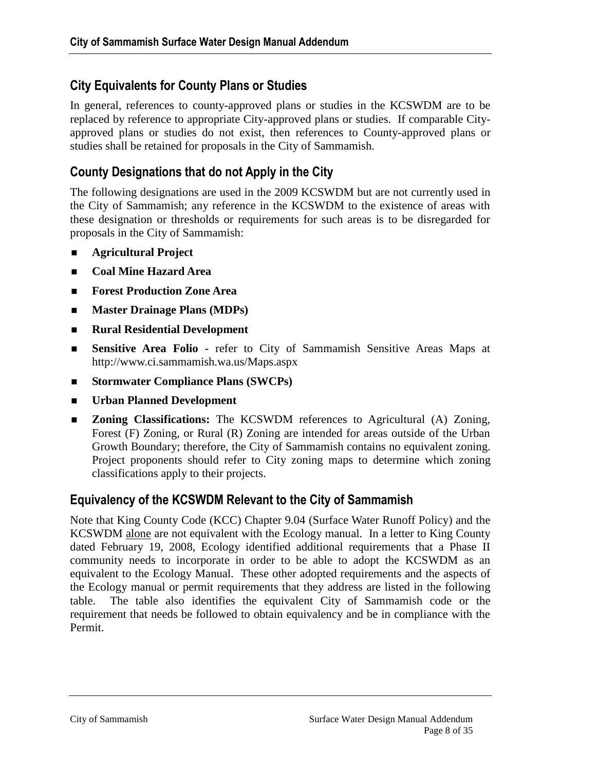## **City Equivalents for County Plans or Studies**

In general, references to county-approved plans or studies in the KCSWDM are to be replaced by reference to appropriate City-approved plans or studies. If comparable Cityapproved plans or studies do not exist, then references to County-approved plans or studies shall be retained for proposals in the City of Sammamish.

### **County Designations that do not Apply in the City**

The following designations are used in the 2009 KCSWDM but are not currently used in the City of Sammamish; any reference in the KCSWDM to the existence of areas with these designation or thresholds or requirements for such areas is to be disregarded for proposals in the City of Sammamish:

- **Agricultural Project**
- **Coal Mine Hazard Area**
- **Forest Production Zone Area**
- **Master Drainage Plans (MDPs)**
- **Rural Residential Development**
- **Sensitive Area Folio -** refer to City of Sammamish Sensitive Areas Maps at http://www.ci.sammamish.wa.us/Maps.aspx
- **Stormwater Compliance Plans (SWCPs)**
- **Urban Planned Development**
- **Zoning Classifications:** The KCSWDM references to Agricultural (A) Zoning, Forest (F) Zoning, or Rural (R) Zoning are intended for areas outside of the Urban Growth Boundary; therefore, the City of Sammamish contains no equivalent zoning. Project proponents should refer to City zoning maps to determine which zoning classifications apply to their projects.

### **Equivalency of the KCSWDM Relevant to the City of Sammamish**

Note that King County Code (KCC) Chapter 9.04 (Surface Water Runoff Policy) and the KCSWDM alone are not equivalent with the Ecology manual. In a letter to King County dated February 19, 2008, Ecology identified additional requirements that a Phase II community needs to incorporate in order to be able to adopt the KCSWDM as an equivalent to the Ecology Manual. These other adopted requirements and the aspects of the Ecology manual or permit requirements that they address are listed in the following table. The table also identifies the equivalent City of Sammamish code or the requirement that needs be followed to obtain equivalency and be in compliance with the Permit.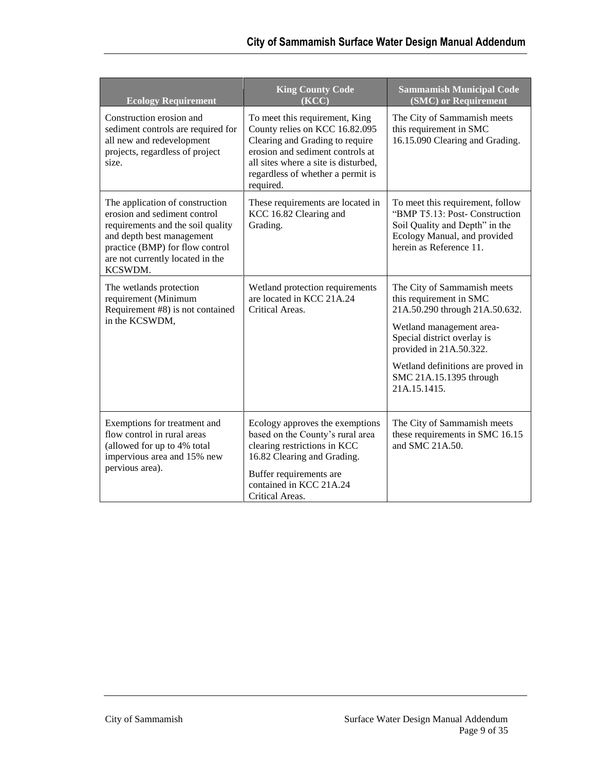| <b>Ecology Requirement</b>                                                                                                                                                                                          | <b>King County Code</b><br>(KCC)                                                                                                                                                                                                  | <b>Sammamish Municipal Code</b><br>(SMC) or Requirement                                                                                                                                                                                                        |
|---------------------------------------------------------------------------------------------------------------------------------------------------------------------------------------------------------------------|-----------------------------------------------------------------------------------------------------------------------------------------------------------------------------------------------------------------------------------|----------------------------------------------------------------------------------------------------------------------------------------------------------------------------------------------------------------------------------------------------------------|
| Construction erosion and<br>sediment controls are required for<br>all new and redevelopment<br>projects, regardless of project<br>size.                                                                             | To meet this requirement, King<br>County relies on KCC 16.82.095<br>Clearing and Grading to require<br>erosion and sediment controls at<br>all sites where a site is disturbed,<br>regardless of whether a permit is<br>required. | The City of Sammamish meets<br>this requirement in SMC<br>16.15.090 Clearing and Grading.                                                                                                                                                                      |
| The application of construction<br>erosion and sediment control<br>requirements and the soil quality<br>and depth best management<br>practice (BMP) for flow control<br>are not currently located in the<br>KCSWDM. | These requirements are located in<br>KCC 16.82 Clearing and<br>Grading.                                                                                                                                                           | To meet this requirement, follow<br>"BMP T5.13: Post- Construction<br>Soil Quality and Depth" in the<br>Ecology Manual, and provided<br>herein as Reference 11.                                                                                                |
| The wetlands protection<br>requirement (Minimum<br>Requirement #8) is not contained<br>in the KCSWDM,                                                                                                               | Wetland protection requirements<br>are located in KCC 21A.24<br>Critical Areas.                                                                                                                                                   | The City of Sammamish meets<br>this requirement in SMC<br>21A.50.290 through 21A.50.632.<br>Wetland management area-<br>Special district overlay is<br>provided in 21A.50.322.<br>Wetland definitions are proved in<br>SMC 21A.15.1395 through<br>21A.15.1415. |
| Exemptions for treatment and<br>flow control in rural areas<br>(allowed for up to 4% total<br>impervious area and 15% new<br>pervious area).                                                                        | Ecology approves the exemptions<br>based on the County's rural area<br>clearing restrictions in KCC<br>16.82 Clearing and Grading.<br>Buffer requirements are<br>contained in KCC 21A.24<br>Critical Areas.                       | The City of Sammamish meets<br>these requirements in SMC 16.15<br>and SMC 21A.50.                                                                                                                                                                              |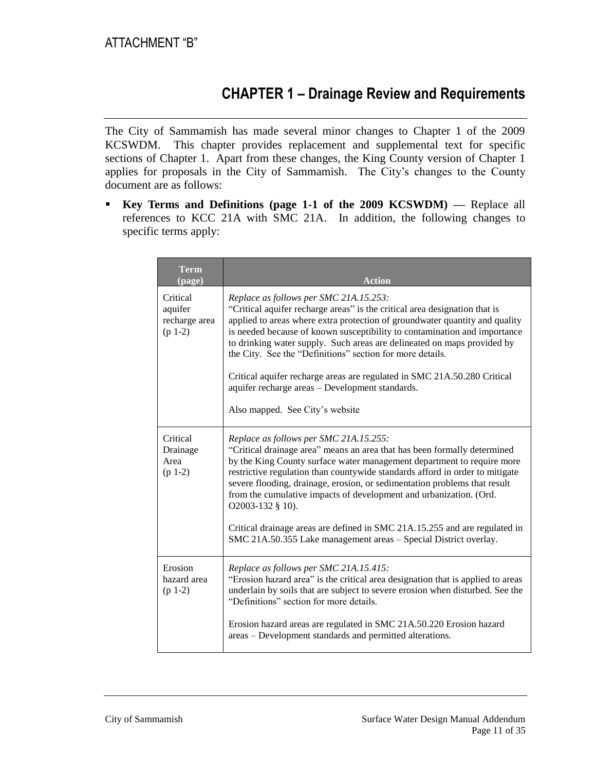## **CHAPTER 1 – Drainage Review and Requirements**

The City of Sammamish has made several minor changes to Chapter 1 of the 2009 KCSWDM. This chapter provides replacement and supplemental text for specific sections of Chapter 1. Apart from these changes, the King County version of Chapter 1 applies for proposals in the City of Sammamish. The City's changes to the County document are as follows:

**Key Terms and Definitions (page 1-1 of the 2009 KCSWDM)** — Replace all references to KCC 21A with SMC 21A. In addition, the following changes to specific terms apply:

| <b>Term</b><br>(page)                             | <b>Action</b>                                                                                                                                                                                                                                                                                                                                                                                                                                                                                        |
|---------------------------------------------------|------------------------------------------------------------------------------------------------------------------------------------------------------------------------------------------------------------------------------------------------------------------------------------------------------------------------------------------------------------------------------------------------------------------------------------------------------------------------------------------------------|
| Critical<br>aquifer<br>recharge area<br>$(p 1-2)$ | Replace as follows per SMC 21A.15.253:<br>"Critical aquifer recharge areas" is the critical area designation that is<br>applied to areas where extra protection of groundwater quantity and quality<br>is needed because of known susceptibility to contamination and importance<br>to drinking water supply. Such areas are delineated on maps provided by<br>the City. See the "Definitions" section for more details.<br>Critical aquifer recharge areas are regulated in SMC 21A.50.280 Critical |
|                                                   | aquifer recharge areas - Development standards.<br>Also mapped. See City's website                                                                                                                                                                                                                                                                                                                                                                                                                   |
|                                                   |                                                                                                                                                                                                                                                                                                                                                                                                                                                                                                      |
| Critical<br>Drainage<br>Area<br>$(p 1-2)$         | Replace as follows per SMC 21A.15.255:<br>"Critical drainage area" means an area that has been formally determined<br>by the King County surface water management department to require more<br>restrictive regulation than countywide standards afford in order to mitigate<br>severe flooding, drainage, erosion, or sedimentation problems that result<br>from the cumulative impacts of development and urbanization. (Ord.<br>O2003-132 § 10).                                                  |
|                                                   | Critical drainage areas are defined in SMC 21A.15.255 and are regulated in<br>SMC 21A.50.355 Lake management areas - Special District overlay.                                                                                                                                                                                                                                                                                                                                                       |
| Erosion<br>hazard area<br>$(p 1-2)$               | Replace as follows per SMC 21A.15.415:<br>"Erosion hazard area" is the critical area designation that is applied to areas<br>underlain by soils that are subject to severe erosion when disturbed. See the<br>"Definitions" section for more details.                                                                                                                                                                                                                                                |
|                                                   | Erosion hazard areas are regulated in SMC 21A.50.220 Erosion hazard<br>areas – Development standards and permitted alterations.                                                                                                                                                                                                                                                                                                                                                                      |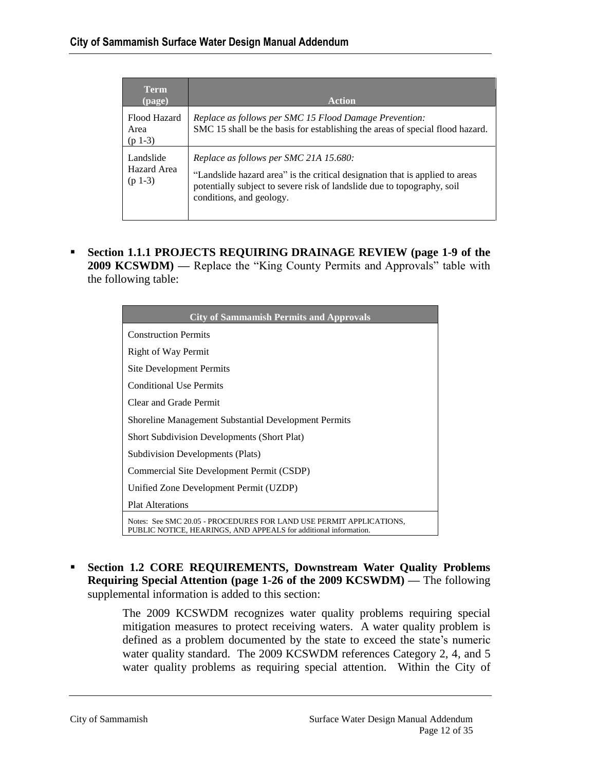| Term.<br>(page)                       | <b>Action</b>                                                                                                                                                                                                                 |
|---------------------------------------|-------------------------------------------------------------------------------------------------------------------------------------------------------------------------------------------------------------------------------|
| Flood Hazard<br>Area<br>$(p 1-3)$     | Replace as follows per SMC 15 Flood Damage Prevention:<br>SMC 15 shall be the basis for establishing the areas of special flood hazard.                                                                                       |
| Landslide<br>Hazard Area<br>$(p 1-3)$ | Replace as follows per SMC 21A 15.680:<br>"Landslide hazard area" is the critical designation that is applied to areas<br>potentially subject to severe risk of landslide due to topography, soil<br>conditions, and geology. |

 **Section 1.1.1 PROJECTS REQUIRING DRAINAGE REVIEW (page 1-9 of the 2009 KCSWDM)** — Replace the "King County Permits and Approvals" table with the following table:

| <b>City of Sammamish Permits and Approvals</b>                                                                                          |  |  |
|-----------------------------------------------------------------------------------------------------------------------------------------|--|--|
| <b>Construction Permits</b>                                                                                                             |  |  |
| Right of Way Permit                                                                                                                     |  |  |
| <b>Site Development Permits</b>                                                                                                         |  |  |
| <b>Conditional Use Permits</b>                                                                                                          |  |  |
| Clear and Grade Permit                                                                                                                  |  |  |
| <b>Shoreline Management Substantial Development Permits</b>                                                                             |  |  |
| <b>Short Subdivision Developments (Short Plat)</b>                                                                                      |  |  |
| <b>Subdivision Developments (Plats)</b>                                                                                                 |  |  |
| Commercial Site Development Permit (CSDP)                                                                                               |  |  |
| Unified Zone Development Permit (UZDP)                                                                                                  |  |  |
| <b>Plat Alterations</b>                                                                                                                 |  |  |
| Notes: See SMC 20.05 - PROCEDURES FOR LAND USE PERMIT APPLICATIONS,<br>PUBLIC NOTICE, HEARINGS, AND APPEALS for additional information. |  |  |

 **Section 1.2 CORE REQUIREMENTS, Downstream Water Quality Problems Requiring Special Attention (page 1-26 of the 2009 KCSWDM) —** The following supplemental information is added to this section:

> The 2009 KCSWDM recognizes water quality problems requiring special mitigation measures to protect receiving waters. A water quality problem is defined as a problem documented by the state to exceed the state's numeric water quality standard. The 2009 KCSWDM references Category 2, 4, and 5 water quality problems as requiring special attention. Within the City of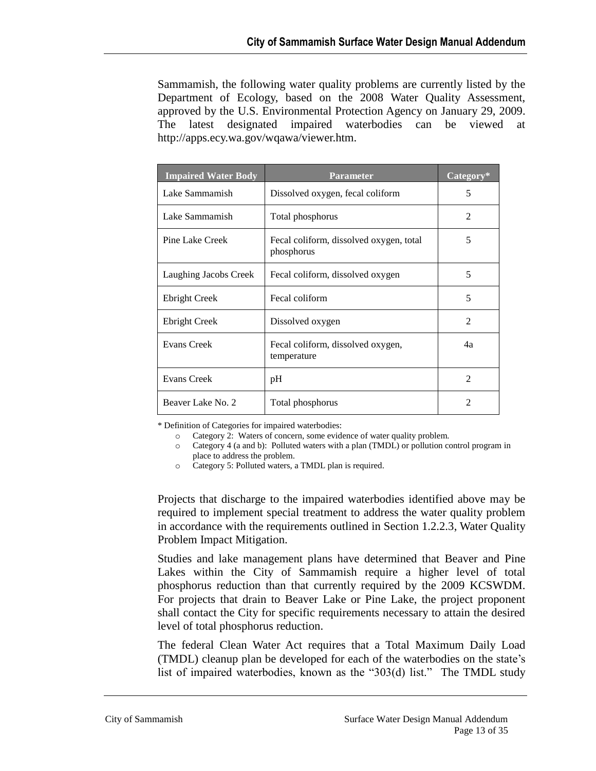Sammamish, the following water quality problems are currently listed by the Department of Ecology, based on the 2008 Water Quality Assessment, approved by the U.S. Environmental Protection Agency on January 29, 2009. The latest designated impaired waterbodies can be viewed at http://apps.ecy.wa.gov/wqawa/viewer.htm.

| <b>Impaired Water Body</b> | <b>Parameter</b>                                      | Category*                   |
|----------------------------|-------------------------------------------------------|-----------------------------|
| Lake Sammamish             | Dissolved oxygen, fecal coliform                      | 5                           |
| Lake Sammamish             | Total phosphorus                                      | 2                           |
| Pine Lake Creek            | Fecal coliform, dissolved oxygen, total<br>phosphorus | 5                           |
| Laughing Jacobs Creek      | Fecal coliform, dissolved oxygen                      | 5                           |
| <b>Ebright Creek</b>       | Fecal coliform                                        | 5                           |
| <b>Ebright Creek</b>       | Dissolved oxygen                                      | $\mathfrak{D}$              |
| Evans Creek                | Fecal coliform, dissolved oxygen,<br>temperature      | 4a                          |
| <b>Evans Creek</b>         | pH                                                    | $\mathfrak{D}$              |
| Beaver Lake No. 2          | Total phosphorus                                      | $\mathcal{D}_{\mathcal{A}}$ |

\* Definition of Categories for impaired waterbodies:

o Category 2: Waters of concern, some evidence of water quality problem.

o Category 4 (a and b): Polluted waters with a plan (TMDL) or pollution control program in place to address the problem.

o Category 5: Polluted waters, a TMDL plan is required.

Projects that discharge to the impaired waterbodies identified above may be required to implement special treatment to address the water quality problem in accordance with the requirements outlined in Section 1.2.2.3, Water Quality Problem Impact Mitigation.

Studies and lake management plans have determined that Beaver and Pine Lakes within the City of Sammamish require a higher level of total phosphorus reduction than that currently required by the 2009 KCSWDM. For projects that drain to Beaver Lake or Pine Lake, the project proponent shall contact the City for specific requirements necessary to attain the desired level of total phosphorus reduction.

The federal Clean Water Act requires that a Total Maximum Daily Load (TMDL) cleanup plan be developed for each of the waterbodies on the state's list of impaired waterbodies, known as the "303(d) list." The TMDL study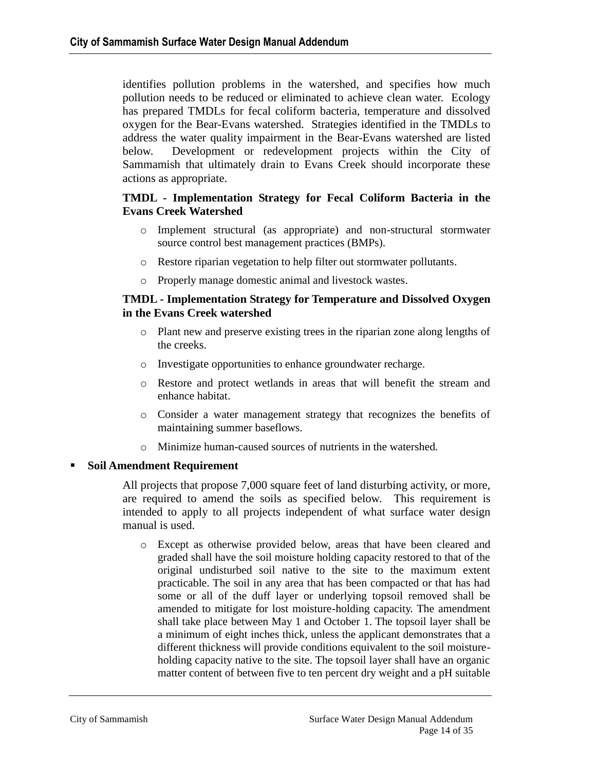identifies pollution problems in the watershed, and specifies how much pollution needs to be reduced or eliminated to achieve clean water. Ecology has prepared TMDLs for fecal coliform bacteria, temperature and dissolved oxygen for the Bear-Evans watershed. Strategies identified in the TMDLs to address the water quality impairment in the Bear-Evans watershed are listed below. Development or redevelopment projects within the City of Sammamish that ultimately drain to Evans Creek should incorporate these actions as appropriate.

#### **TMDL - Implementation Strategy for Fecal Coliform Bacteria in the Evans Creek Watershed**

- o Implement structural (as appropriate) and non-structural stormwater source control best management practices (BMPs).
- o Restore riparian vegetation to help filter out stormwater pollutants.
- o Properly manage domestic animal and livestock wastes.

#### **TMDL - Implementation Strategy for Temperature and Dissolved Oxygen in the Evans Creek watershed**

- o Plant new and preserve existing trees in the riparian zone along lengths of the creeks.
- o Investigate opportunities to enhance groundwater recharge.
- o Restore and protect wetlands in areas that will benefit the stream and enhance habitat.
- o Consider a water management strategy that recognizes the benefits of maintaining summer baseflows.
- o Minimize human-caused sources of nutrients in the watershed.

#### **Soil Amendment Requirement**

All projects that propose 7,000 square feet of land disturbing activity, or more, are required to amend the soils as specified below. This requirement is intended to apply to all projects independent of what surface water design manual is used.

o Except as otherwise provided below, areas that have been cleared and graded shall have the soil moisture holding capacity restored to that of the original undisturbed soil native to the site to the maximum extent practicable. The soil in any area that has been compacted or that has had some or all of the duff layer or underlying topsoil removed shall be amended to mitigate for lost moisture-holding capacity. The amendment shall take place between May 1 and October 1. The topsoil layer shall be a minimum of eight inches thick, unless the applicant demonstrates that a different thickness will provide conditions equivalent to the soil moistureholding capacity native to the site. The topsoil layer shall have an organic matter content of between five to ten percent dry weight and a pH suitable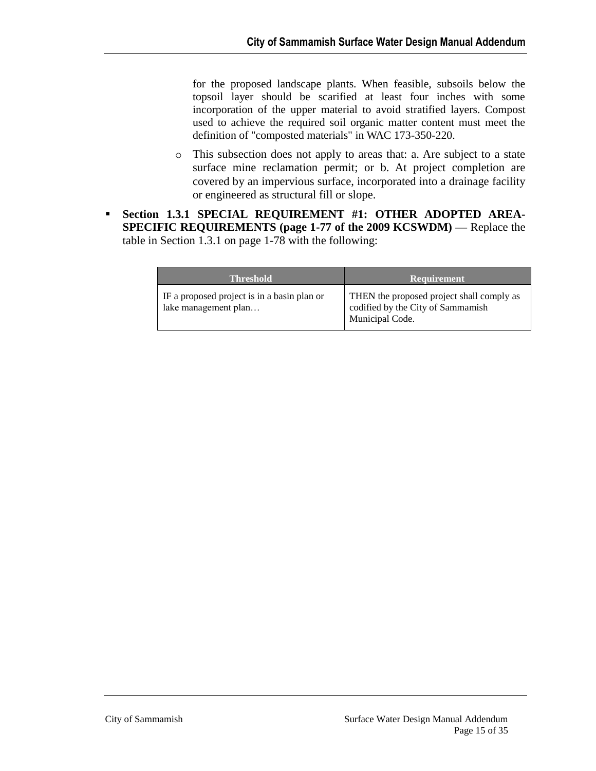for the proposed landscape plants. When feasible, subsoils below the topsoil layer should be scarified at least four inches with some incorporation of the upper material to avoid stratified layers. Compost used to achieve the required soil organic matter content must meet the definition of "composted materials" in WAC 173-350-220.

- o This subsection does not apply to areas that: a. Are subject to a state surface mine reclamation permit; or b. At project completion are covered by an impervious surface, incorporated into a drainage facility or engineered as structural fill or slope.
- **Section 1.3.1 SPECIAL REQUIREMENT #1: OTHER ADOPTED AREA-SPECIFIC REQUIREMENTS (page 1-77 of the 2009 KCSWDM) —** Replace the table in Section 1.3.1 on page 1-78 with the following:

| <b>Threshold</b>                                                    | <b>Requirement</b>                                                                                |
|---------------------------------------------------------------------|---------------------------------------------------------------------------------------------------|
| IF a proposed project is in a basin plan or<br>lake management plan | THEN the proposed project shall comply as<br>codified by the City of Sammamish<br>Municipal Code. |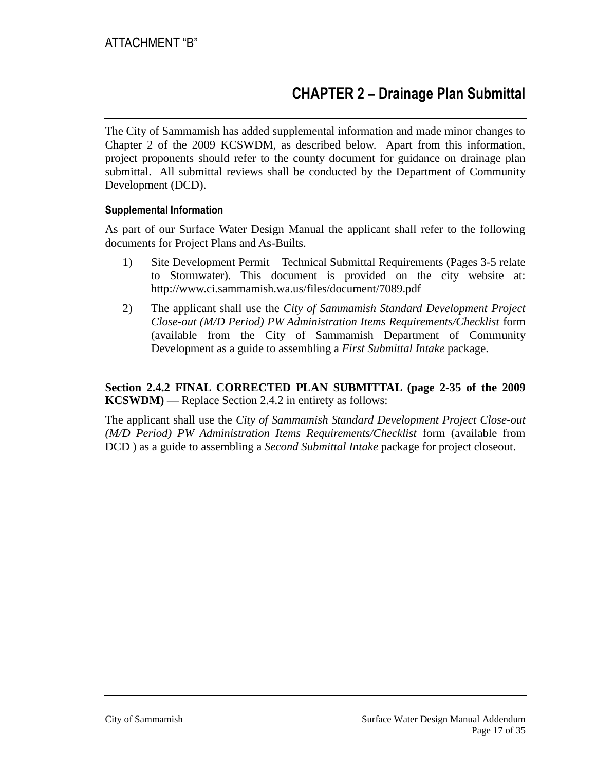# **CHAPTER 2 – Drainage Plan Submittal**

The City of Sammamish has added supplemental information and made minor changes to Chapter 2 of the 2009 KCSWDM, as described below. Apart from this information, project proponents should refer to the county document for guidance on drainage plan submittal. All submittal reviews shall be conducted by the Department of Community Development (DCD).

#### **Supplemental Information**

As part of our Surface Water Design Manual the applicant shall refer to the following documents for Project Plans and As-Builts.

- 1) Site Development Permit Technical Submittal Requirements (Pages 3-5 relate to Stormwater). This document is provided on the city website at: <http://www.ci.sammamish.wa.us/files/document/7089.pdf>
- 2) The applicant shall use the *City of Sammamish Standard Development Project Close-out (M/D Period) PW Administration Items Requirements/Checklist* form (available from the City of Sammamish Department of Community Development as a guide to assembling a *First Submittal Intake* package.

#### **Section 2.4.2 FINAL CORRECTED PLAN SUBMITTAL (page 2-35 of the 2009 KCSWDM) —** Replace Section 2.4.2 in entirety as follows:

The applicant shall use the *City of Sammamish Standard Development Project Close-out (M/D Period) PW Administration Items Requirements/Checklist* form (available from DCD ) as a guide to assembling a *Second Submittal Intake* package for project closeout.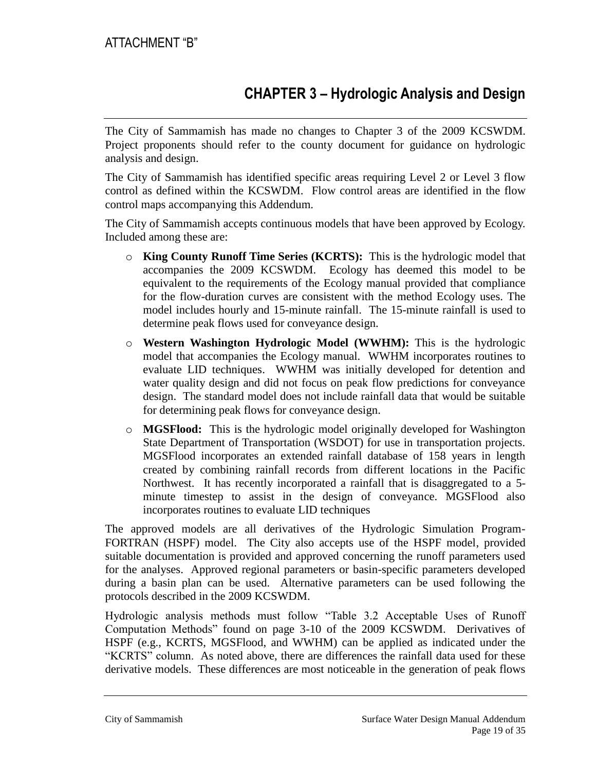# **CHAPTER 3 – Hydrologic Analysis and Design**

The City of Sammamish has made no changes to Chapter 3 of the 2009 KCSWDM. Project proponents should refer to the county document for guidance on hydrologic analysis and design.

The City of Sammamish has identified specific areas requiring Level 2 or Level 3 flow control as defined within the KCSWDM. Flow control areas are identified in the flow control maps accompanying this Addendum.

The City of Sammamish accepts continuous models that have been approved by Ecology. Included among these are:

- o **King County Runoff Time Series (KCRTS):** This is the hydrologic model that accompanies the 2009 KCSWDM. Ecology has deemed this model to be equivalent to the requirements of the Ecology manual provided that compliance for the flow-duration curves are consistent with the method Ecology uses. The model includes hourly and 15-minute rainfall. The 15-minute rainfall is used to determine peak flows used for conveyance design.
- o **Western Washington Hydrologic Model (WWHM):** This is the hydrologic model that accompanies the Ecology manual. WWHM incorporates routines to evaluate LID techniques. WWHM was initially developed for detention and water quality design and did not focus on peak flow predictions for conveyance design. The standard model does not include rainfall data that would be suitable for determining peak flows for conveyance design.
- o **MGSFlood:** This is the hydrologic model originally developed for Washington State Department of Transportation (WSDOT) for use in transportation projects. MGSFlood incorporates an extended rainfall database of 158 years in length created by combining rainfall records from different locations in the Pacific Northwest. It has recently incorporated a rainfall that is disaggregated to a 5 minute timestep to assist in the design of conveyance. MGSFlood also incorporates routines to evaluate LID techniques

The approved models are all derivatives of the Hydrologic Simulation Program-FORTRAN (HSPF) model. The City also accepts use of the HSPF model, provided suitable documentation is provided and approved concerning the runoff parameters used for the analyses. Approved regional parameters or basin-specific parameters developed during a basin plan can be used. Alternative parameters can be used following the protocols described in the 2009 KCSWDM.

Hydrologic analysis methods must follow "Table 3.2 Acceptable Uses of Runoff Computation Methods" found on page 3-10 of the 2009 KCSWDM. Derivatives of HSPF (e.g., KCRTS, MGSFlood, and WWHM) can be applied as indicated under the "KCRTS" column. As noted above, there are differences the rainfall data used for these derivative models. These differences are most noticeable in the generation of peak flows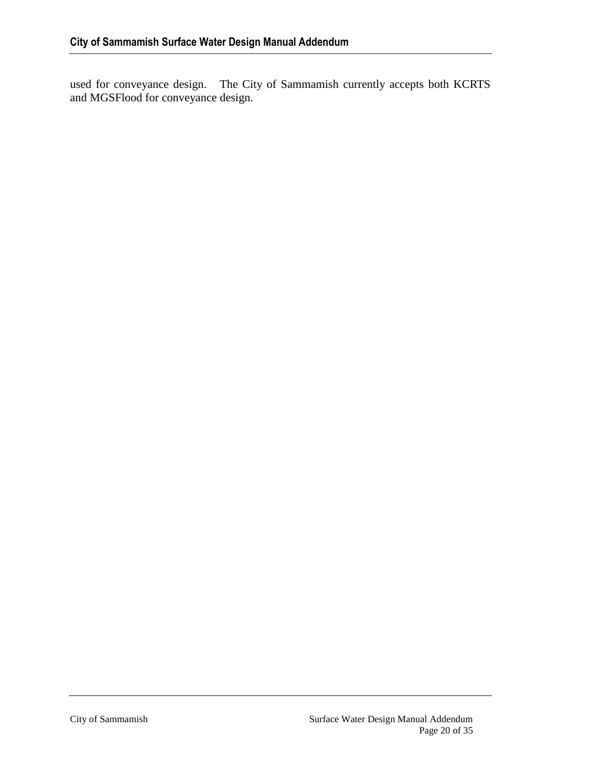used for conveyance design. The City of Sammamish currently accepts both KCRTS and MGSFlood for conveyance design.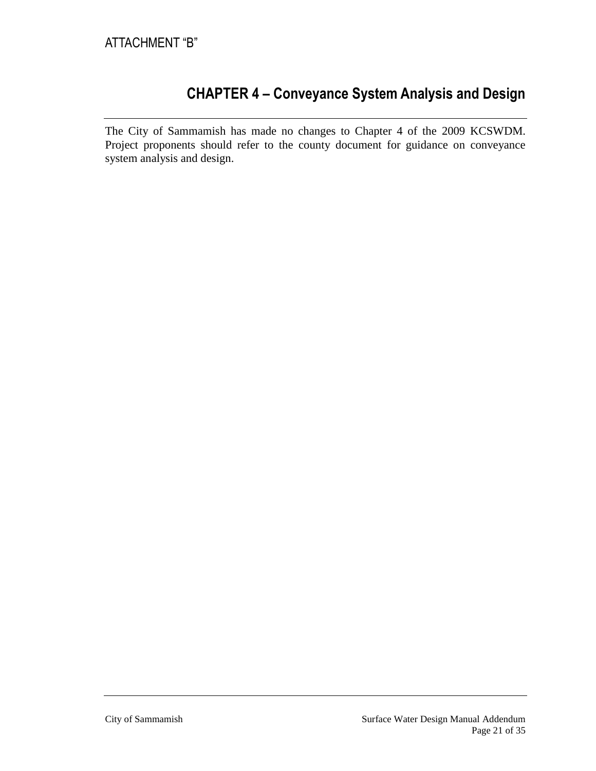## **CHAPTER 4 – Conveyance System Analysis and Design**

The City of Sammamish has made no changes to Chapter 4 of the 2009 KCSWDM. Project proponents should refer to the county document for guidance on conveyance system analysis and design.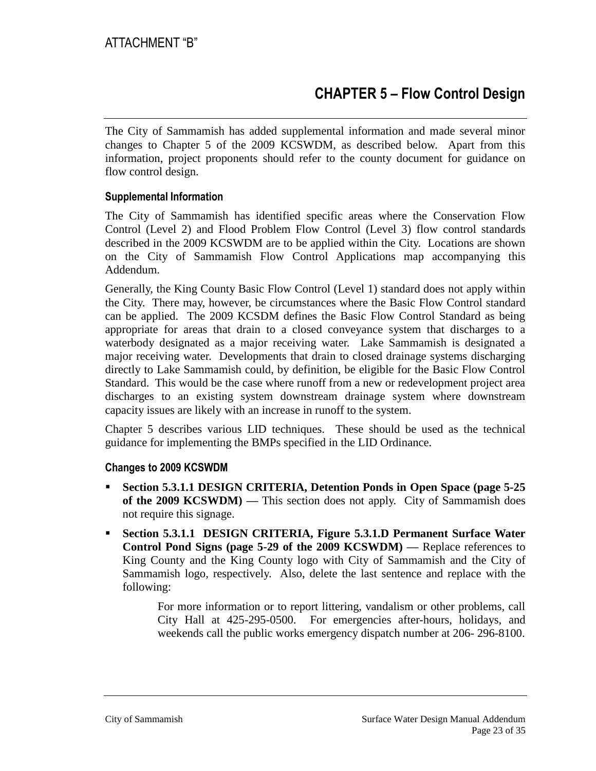# **CHAPTER 5 – Flow Control Design**

The City of Sammamish has added supplemental information and made several minor changes to Chapter 5 of the 2009 KCSWDM, as described below. Apart from this information, project proponents should refer to the county document for guidance on flow control design.

#### **Supplemental Information**

The City of Sammamish has identified specific areas where the Conservation Flow Control (Level 2) and Flood Problem Flow Control (Level 3) flow control standards described in the 2009 KCSWDM are to be applied within the City. Locations are shown on the City of Sammamish Flow Control Applications map accompanying this Addendum.

Generally, the King County Basic Flow Control (Level 1) standard does not apply within the City. There may, however, be circumstances where the Basic Flow Control standard can be applied. The 2009 KCSDM defines the Basic Flow Control Standard as being appropriate for areas that drain to a closed conveyance system that discharges to a waterbody designated as a major receiving water. Lake Sammamish is designated a major receiving water. Developments that drain to closed drainage systems discharging directly to Lake Sammamish could, by definition, be eligible for the Basic Flow Control Standard. This would be the case where runoff from a new or redevelopment project area discharges to an existing system downstream drainage system where downstream capacity issues are likely with an increase in runoff to the system.

Chapter 5 describes various LID techniques. These should be used as the technical guidance for implementing the BMPs specified in the LID Ordinance.

#### **Changes to 2009 KCSWDM**

- **Section 5.3.1.1 DESIGN CRITERIA, Detention Ponds in Open Space (page 5-25 of the 2009 KCSWDM) —** This section does not apply. City of Sammamish does not require this signage.
- **Section 5.3.1.1 DESIGN CRITERIA, Figure 5.3.1.D Permanent Surface Water Control Pond Signs (page 5-29 of the 2009 KCSWDM) —** Replace references to King County and the King County logo with City of Sammamish and the City of Sammamish logo, respectively. Also, delete the last sentence and replace with the following:

For more information or to report littering, vandalism or other problems, call City Hall at 425-295-0500. For emergencies after-hours, holidays, and weekends call the public works emergency dispatch number at 206- 296-8100.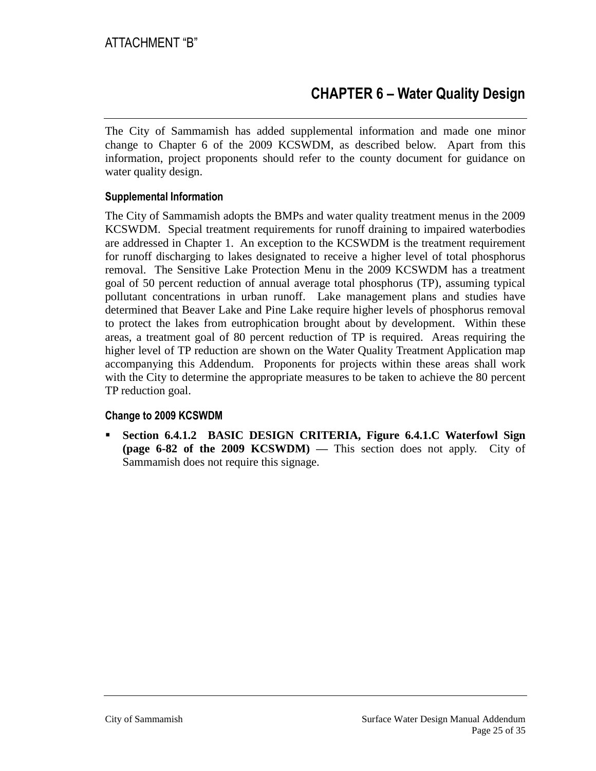The City of Sammamish has added supplemental information and made one minor change to Chapter 6 of the 2009 KCSWDM, as described below. Apart from this information, project proponents should refer to the county document for guidance on water quality design.

#### **Supplemental Information**

The City of Sammamish adopts the BMPs and water quality treatment menus in the 2009 KCSWDM. Special treatment requirements for runoff draining to impaired waterbodies are addressed in Chapter 1. An exception to the KCSWDM is the treatment requirement for runoff discharging to lakes designated to receive a higher level of total phosphorus removal. The Sensitive Lake Protection Menu in the 2009 KCSWDM has a treatment goal of 50 percent reduction of annual average total phosphorus (TP), assuming typical pollutant concentrations in urban runoff. Lake management plans and studies have determined that Beaver Lake and Pine Lake require higher levels of phosphorus removal to protect the lakes from eutrophication brought about by development. Within these areas, a treatment goal of 80 percent reduction of TP is required. Areas requiring the higher level of TP reduction are shown on the Water Quality Treatment Application map accompanying this Addendum. Proponents for projects within these areas shall work with the City to determine the appropriate measures to be taken to achieve the 80 percent TP reduction goal.

#### **Change to 2009 KCSWDM**

 **Section 6.4.1.2 BASIC DESIGN CRITERIA, Figure 6.4.1.C Waterfowl Sign (page 6-82 of the 2009 KCSWDM) —** This section does not apply. City of Sammamish does not require this signage.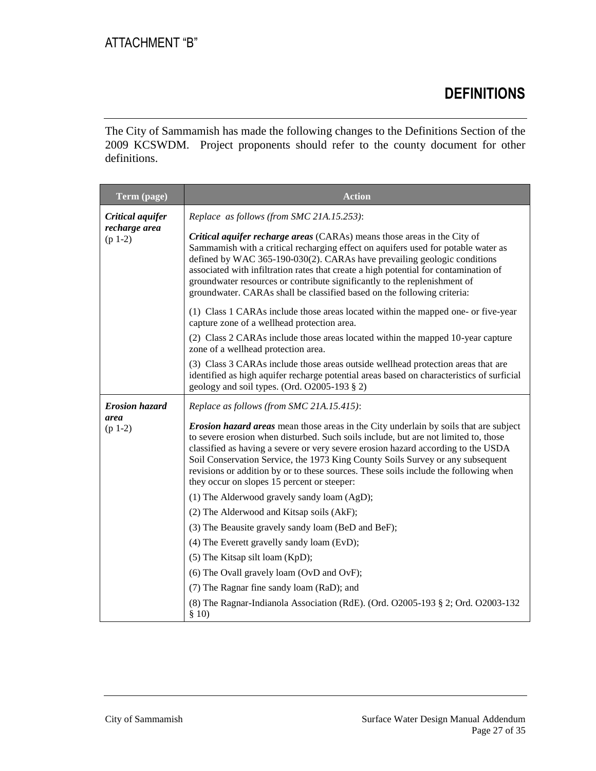# **DEFINITIONS**

The City of Sammamish has made the following changes to the Definitions Section of the 2009 KCSWDM. Project proponents should refer to the county document for other definitions.

| Term (page)                                    | <b>Action</b>                                                                                                                                                                                                                                                                                                                                                                                                                                                                                     |
|------------------------------------------------|---------------------------------------------------------------------------------------------------------------------------------------------------------------------------------------------------------------------------------------------------------------------------------------------------------------------------------------------------------------------------------------------------------------------------------------------------------------------------------------------------|
| Critical aquifer<br>recharge area<br>$(p 1-2)$ | Replace as follows (from SMC 21A.15.253):                                                                                                                                                                                                                                                                                                                                                                                                                                                         |
|                                                | Critical aquifer recharge areas (CARAs) means those areas in the City of<br>Sammamish with a critical recharging effect on aquifers used for potable water as<br>defined by WAC 365-190-030(2). CARAs have prevailing geologic conditions<br>associated with infiltration rates that create a high potential for contamination of<br>groundwater resources or contribute significantly to the replenishment of<br>groundwater. CARAs shall be classified based on the following criteria:         |
|                                                | (1) Class 1 CARAs include those areas located within the mapped one- or five-year<br>capture zone of a wellhead protection area.                                                                                                                                                                                                                                                                                                                                                                  |
|                                                | (2) Class 2 CARAs include those areas located within the mapped 10-year capture<br>zone of a wellhead protection area.                                                                                                                                                                                                                                                                                                                                                                            |
|                                                | (3) Class 3 CARAs include those areas outside wellhead protection areas that are<br>identified as high aquifer recharge potential areas based on characteristics of surficial<br>geology and soil types. (Ord. O2005-193 § 2)                                                                                                                                                                                                                                                                     |
| <b>Erosion hazard</b>                          | Replace as follows (from SMC 21A.15.415):                                                                                                                                                                                                                                                                                                                                                                                                                                                         |
| area<br>$(p 1-2)$                              | <b>Erosion hazard areas</b> mean those areas in the City underlain by soils that are subject<br>to severe erosion when disturbed. Such soils include, but are not limited to, those<br>classified as having a severe or very severe erosion hazard according to the USDA<br>Soil Conservation Service, the 1973 King County Soils Survey or any subsequent<br>revisions or addition by or to these sources. These soils include the following when<br>they occur on slopes 15 percent or steeper: |
|                                                | (1) The Alderwood gravely sandy loam (AgD);                                                                                                                                                                                                                                                                                                                                                                                                                                                       |
|                                                | (2) The Alderwood and Kitsap soils (AkF);                                                                                                                                                                                                                                                                                                                                                                                                                                                         |
|                                                | (3) The Beausite gravely sandy loam (BeD and BeF);                                                                                                                                                                                                                                                                                                                                                                                                                                                |
|                                                | (4) The Everett gravelly sandy loam (EvD);                                                                                                                                                                                                                                                                                                                                                                                                                                                        |
|                                                | (5) The Kitsap silt loam (KpD);                                                                                                                                                                                                                                                                                                                                                                                                                                                                   |
|                                                | (6) The Ovall gravely loam (OvD and OvF);                                                                                                                                                                                                                                                                                                                                                                                                                                                         |
|                                                | (7) The Ragnar fine sandy loam (RaD); and                                                                                                                                                                                                                                                                                                                                                                                                                                                         |
|                                                | (8) The Ragnar-Indianola Association (RdE). (Ord. O2005-193 § 2; Ord. O2003-132<br>\$10)                                                                                                                                                                                                                                                                                                                                                                                                          |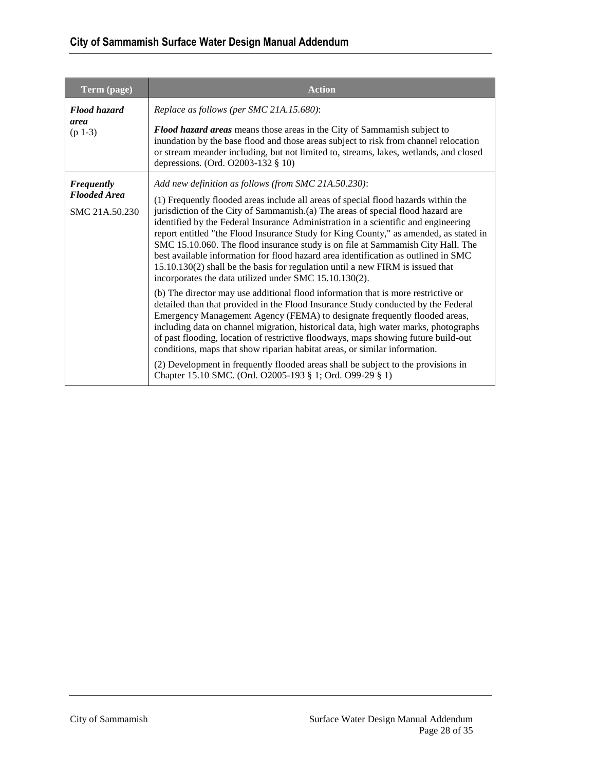## **City of Sammamish Surface Water Design Manual Addendum**

| Term (page)                                                | <b>Action</b>                                                                                                                                                                                                                                                                                                                                                                                                                                                                                                                                                                                                                                                                                                                                                                                                                                                                                                                                                                                                                                                                                                                                                                                                                                                                                                                                                                                        |
|------------------------------------------------------------|------------------------------------------------------------------------------------------------------------------------------------------------------------------------------------------------------------------------------------------------------------------------------------------------------------------------------------------------------------------------------------------------------------------------------------------------------------------------------------------------------------------------------------------------------------------------------------------------------------------------------------------------------------------------------------------------------------------------------------------------------------------------------------------------------------------------------------------------------------------------------------------------------------------------------------------------------------------------------------------------------------------------------------------------------------------------------------------------------------------------------------------------------------------------------------------------------------------------------------------------------------------------------------------------------------------------------------------------------------------------------------------------------|
| <b>Flood hazard</b><br>area<br>$(p 1-3)$                   | Replace as follows (per SMC 21A.15.680):<br><b>Flood hazard areas</b> means those areas in the City of Sammamish subject to<br>inundation by the base flood and those areas subject to risk from channel relocation<br>or stream meander including, but not limited to, streams, lakes, wetlands, and closed<br>depressions. (Ord. O2003-132 § 10)                                                                                                                                                                                                                                                                                                                                                                                                                                                                                                                                                                                                                                                                                                                                                                                                                                                                                                                                                                                                                                                   |
| <b>Frequently</b><br><b>Flooded Area</b><br>SMC 21A.50.230 | Add new definition as follows (from SMC 21A.50.230):<br>(1) Frequently flooded areas include all areas of special flood hazards within the<br>jurisdiction of the City of Sammamish.(a) The areas of special flood hazard are<br>identified by the Federal Insurance Administration in a scientific and engineering<br>report entitled "the Flood Insurance Study for King County," as amended, as stated in<br>SMC 15.10.060. The flood insurance study is on file at Sammamish City Hall. The<br>best available information for flood hazard area identification as outlined in SMC<br>15.10.130(2) shall be the basis for regulation until a new FIRM is issued that<br>incorporates the data utilized under SMC 15.10.130(2).<br>(b) The director may use additional flood information that is more restrictive or<br>detailed than that provided in the Flood Insurance Study conducted by the Federal<br>Emergency Management Agency (FEMA) to designate frequently flooded areas,<br>including data on channel migration, historical data, high water marks, photographs<br>of past flooding, location of restrictive floodways, maps showing future build-out<br>conditions, maps that show riparian habitat areas, or similar information.<br>(2) Development in frequently flooded areas shall be subject to the provisions in<br>Chapter 15.10 SMC. (Ord. O2005-193 § 1; Ord. O99-29 § 1) |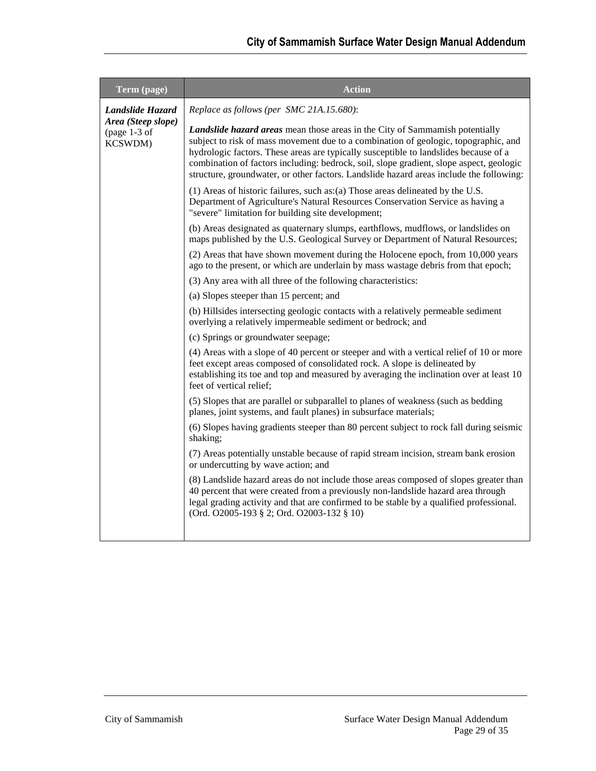| Term (page)                                                         | <b>Action</b>                                                                                                                                                                                                                                                                                                                                                                                                                                            |
|---------------------------------------------------------------------|----------------------------------------------------------------------------------------------------------------------------------------------------------------------------------------------------------------------------------------------------------------------------------------------------------------------------------------------------------------------------------------------------------------------------------------------------------|
| Landslide Hazard<br>Area (Steep slope)<br>(page $1-3$ of<br>KCSWDM) | Replace as follows (per SMC 21A.15.680):                                                                                                                                                                                                                                                                                                                                                                                                                 |
|                                                                     | <b>Landslide hazard areas</b> mean those areas in the City of Sammamish potentially<br>subject to risk of mass movement due to a combination of geologic, topographic, and<br>hydrologic factors. These areas are typically susceptible to landslides because of a<br>combination of factors including: bedrock, soil, slope gradient, slope aspect, geologic<br>structure, groundwater, or other factors. Landslide hazard areas include the following: |
|                                                                     | (1) Areas of historic failures, such as: (a) Those areas delineated by the U.S.<br>Department of Agriculture's Natural Resources Conservation Service as having a<br>"severe" limitation for building site development;                                                                                                                                                                                                                                  |
|                                                                     | (b) Areas designated as quaternary slumps, earthflows, mudflows, or landslides on<br>maps published by the U.S. Geological Survey or Department of Natural Resources;                                                                                                                                                                                                                                                                                    |
|                                                                     | (2) Areas that have shown movement during the Holocene epoch, from 10,000 years<br>ago to the present, or which are underlain by mass wastage debris from that epoch;                                                                                                                                                                                                                                                                                    |
|                                                                     | (3) Any area with all three of the following characteristics:                                                                                                                                                                                                                                                                                                                                                                                            |
|                                                                     | (a) Slopes steeper than 15 percent; and                                                                                                                                                                                                                                                                                                                                                                                                                  |
|                                                                     | (b) Hillsides intersecting geologic contacts with a relatively permeable sediment<br>overlying a relatively impermeable sediment or bedrock; and                                                                                                                                                                                                                                                                                                         |
|                                                                     | (c) Springs or groundwater seepage;                                                                                                                                                                                                                                                                                                                                                                                                                      |
|                                                                     | (4) Areas with a slope of 40 percent or steeper and with a vertical relief of 10 or more<br>feet except areas composed of consolidated rock. A slope is delineated by<br>establishing its toe and top and measured by averaging the inclination over at least 10<br>feet of vertical relief;                                                                                                                                                             |
|                                                                     | (5) Slopes that are parallel or subparallel to planes of weakness (such as bedding<br>planes, joint systems, and fault planes) in subsurface materials;                                                                                                                                                                                                                                                                                                  |
|                                                                     | (6) Slopes having gradients steeper than 80 percent subject to rock fall during seismic<br>shaking;                                                                                                                                                                                                                                                                                                                                                      |
|                                                                     | (7) Areas potentially unstable because of rapid stream incision, stream bank erosion<br>or undercutting by wave action; and                                                                                                                                                                                                                                                                                                                              |
|                                                                     | (8) Landslide hazard areas do not include those areas composed of slopes greater than<br>40 percent that were created from a previously non-landslide hazard area through<br>legal grading activity and that are confirmed to be stable by a qualified professional.<br>(Ord. O2005-193 § 2; Ord. O2003-132 § 10)                                                                                                                                        |
|                                                                     |                                                                                                                                                                                                                                                                                                                                                                                                                                                          |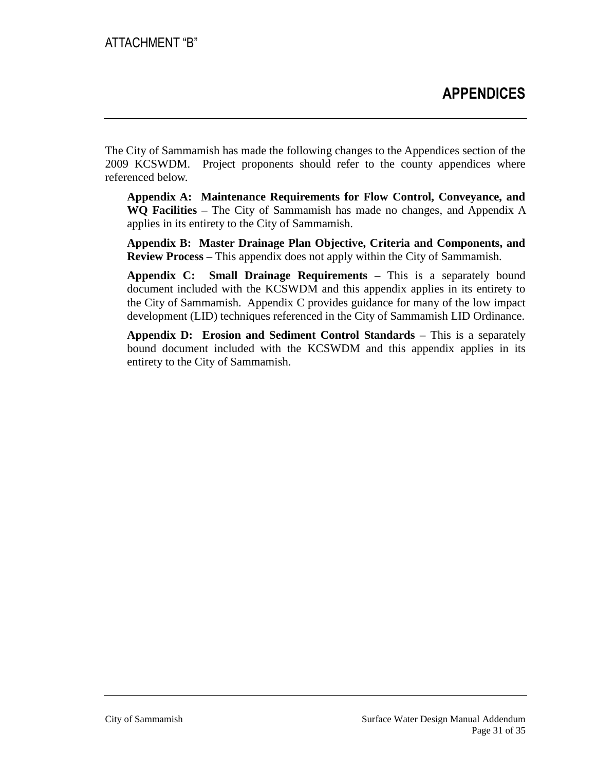The City of Sammamish has made the following changes to the Appendices section of the 2009 KCSWDM. Project proponents should refer to the county appendices where referenced below.

**Appendix A: Maintenance Requirements for Flow Control, Conveyance, and WQ Facilities –** The City of Sammamish has made no changes, and Appendix A applies in its entirety to the City of Sammamish.

**Appendix B: Master Drainage Plan Objective, Criteria and Components, and Review Process –** This appendix does not apply within the City of Sammamish.

**Appendix C: Small Drainage Requirements –** This is a separately bound document included with the KCSWDM and this appendix applies in its entirety to the City of Sammamish. Appendix C provides guidance for many of the low impact development (LID) techniques referenced in the City of Sammamish LID Ordinance.

**Appendix D: Erosion and Sediment Control Standards –** This is a separately bound document included with the KCSWDM and this appendix applies in its entirety to the City of Sammamish.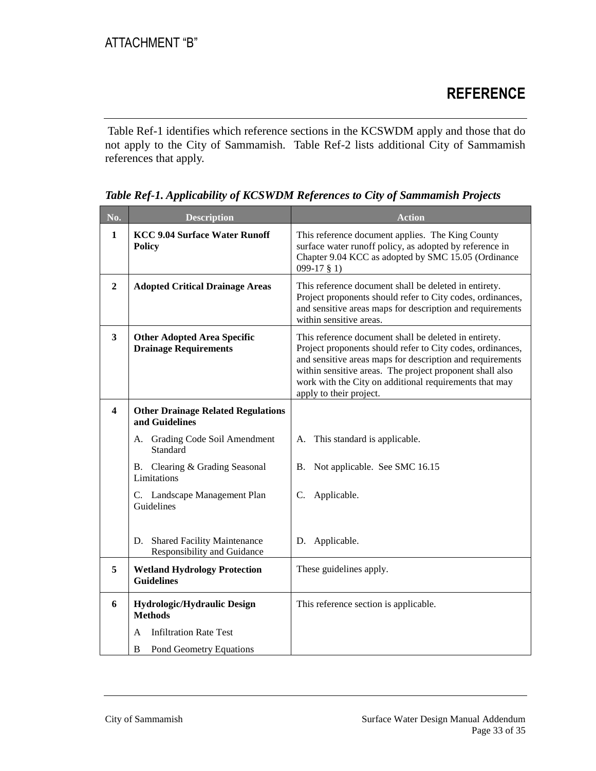Table Ref-1 identifies which reference sections in the KCSWDM apply and those that do not apply to the City of Sammamish. Table Ref-2 lists additional City of Sammamish references that apply.

| No.          | <b>Description</b>                                                      | <b>Action</b>                                                                                                                                                                                                                                                                                                                     |
|--------------|-------------------------------------------------------------------------|-----------------------------------------------------------------------------------------------------------------------------------------------------------------------------------------------------------------------------------------------------------------------------------------------------------------------------------|
| $\mathbf{1}$ | <b>KCC 9.04 Surface Water Runoff</b><br><b>Policy</b>                   | This reference document applies. The King County<br>surface water runoff policy, as adopted by reference in<br>Chapter 9.04 KCC as adopted by SMC 15.05 (Ordinance<br>$099-17$ § 1)                                                                                                                                               |
| $\mathbf{2}$ | <b>Adopted Critical Drainage Areas</b>                                  | This reference document shall be deleted in entirety.<br>Project proponents should refer to City codes, ordinances,<br>and sensitive areas maps for description and requirements<br>within sensitive areas.                                                                                                                       |
| $\mathbf{3}$ | <b>Other Adopted Area Specific</b><br><b>Drainage Requirements</b>      | This reference document shall be deleted in entirety.<br>Project proponents should refer to City codes, ordinances,<br>and sensitive areas maps for description and requirements<br>within sensitive areas. The project proponent shall also<br>work with the City on additional requirements that may<br>apply to their project. |
| 4            | <b>Other Drainage Related Regulations</b><br>and Guidelines             |                                                                                                                                                                                                                                                                                                                                   |
|              | A. Grading Code Soil Amendment<br>Standard                              | A. This standard is applicable.                                                                                                                                                                                                                                                                                                   |
|              | B. Clearing & Grading Seasonal<br>Limitations                           | B. Not applicable. See SMC 16.15                                                                                                                                                                                                                                                                                                  |
|              | C. Landscape Management Plan<br>Guidelines                              | C. Applicable.                                                                                                                                                                                                                                                                                                                    |
|              | <b>Shared Facility Maintenance</b><br>D.<br>Responsibility and Guidance | D. Applicable.                                                                                                                                                                                                                                                                                                                    |
| 5            | <b>Wetland Hydrology Protection</b><br><b>Guidelines</b>                | These guidelines apply.                                                                                                                                                                                                                                                                                                           |
| 6            | Hydrologic/Hydraulic Design<br><b>Methods</b>                           | This reference section is applicable.                                                                                                                                                                                                                                                                                             |
|              | <b>Infiltration Rate Test</b><br>A                                      |                                                                                                                                                                                                                                                                                                                                   |
|              | B<br>Pond Geometry Equations                                            |                                                                                                                                                                                                                                                                                                                                   |

*Table Ref-1. Applicability of KCSWDM References to City of Sammamish Projects*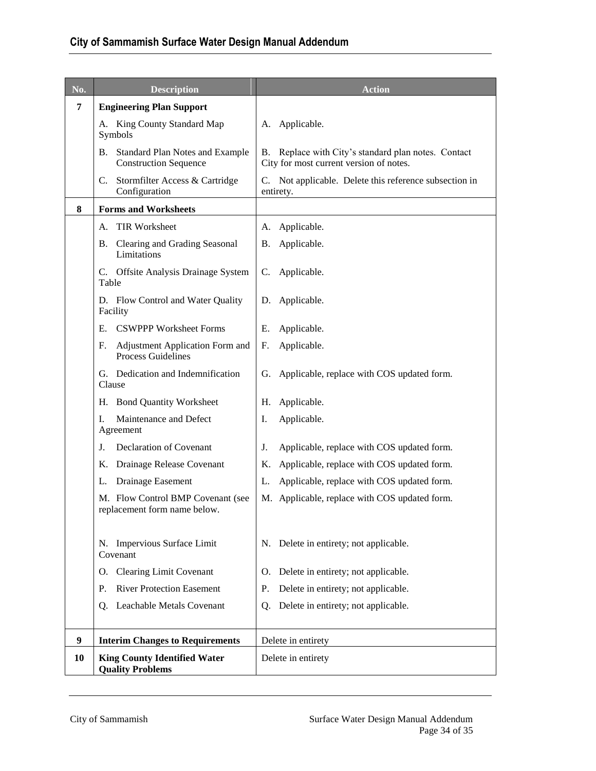| No.            | <b>Description</b>                                                 | <b>Action</b>                                                                                  |
|----------------|--------------------------------------------------------------------|------------------------------------------------------------------------------------------------|
| $\overline{7}$ | <b>Engineering Plan Support</b>                                    |                                                                                                |
|                | A. King County Standard Map<br>Symbols                             | A. Applicable.                                                                                 |
|                | B. Standard Plan Notes and Example<br><b>Construction Sequence</b> | B. Replace with City's standard plan notes. Contact<br>City for most current version of notes. |
|                | C. Stormfilter Access & Cartridge<br>Configuration                 | C. Not applicable. Delete this reference subsection in<br>entirety.                            |
| 8              | <b>Forms and Worksheets</b>                                        |                                                                                                |
|                | A. TIR Worksheet                                                   | A. Applicable.                                                                                 |
|                | B. Clearing and Grading Seasonal<br>Limitations                    | Applicable.<br>В.                                                                              |
|                | C. Offsite Analysis Drainage System<br>Table                       | C. Applicable.                                                                                 |
|                | D. Flow Control and Water Quality<br>Facility                      | D. Applicable.                                                                                 |
|                | E. CSWPPP Worksheet Forms                                          | Applicable.<br>Е.                                                                              |
|                | Adjustment Application Form and<br>F.<br><b>Process Guidelines</b> | Applicable.<br>F.                                                                              |
|                | G. Dedication and Indemnification<br>Clause                        | G. Applicable, replace with COS updated form.                                                  |
|                | H. Bond Quantity Worksheet                                         | Applicable.<br>Н.                                                                              |
|                | Maintenance and Defect<br>I.<br>Agreement                          | Applicable.<br>Ι.                                                                              |
|                | <b>Declaration of Covenant</b><br>J.                               | Applicable, replace with COS updated form.<br>J.                                               |
|                | Drainage Release Covenant<br>Κ.                                    | Applicable, replace with COS updated form.<br>Κ.                                               |
|                | Drainage Easement<br>L.                                            | Applicable, replace with COS updated form.<br>L.                                               |
|                | M. Flow Control BMP Covenant (see<br>replacement form name below.  | M. Applicable, replace with COS updated form.                                                  |
|                | N. Impervious Surface Limit<br>Covenant                            | N. Delete in entirety; not applicable.                                                         |
|                | O. Clearing Limit Covenant                                         | O. Delete in entirety; not applicable.                                                         |
|                | <b>River Protection Easement</b><br>Ρ.                             | Delete in entirety; not applicable.<br>P.                                                      |
|                | Leachable Metals Covenant<br>Q.                                    | Delete in entirety; not applicable.<br>0.                                                      |
| 9              | <b>Interim Changes to Requirements</b>                             | Delete in entirety                                                                             |
| 10             | <b>King County Identified Water</b><br><b>Quality Problems</b>     | Delete in entirety                                                                             |